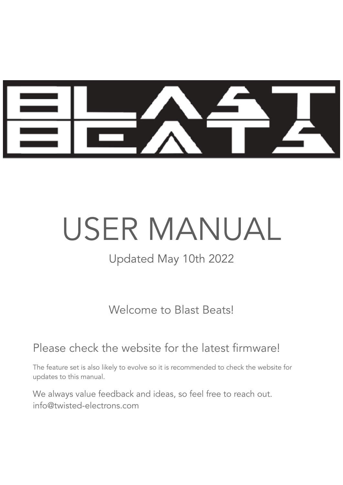

# USER MANUAL

Updated May 10th 2022

Welcome to Blast Beats!

#### Please check the website for the latest firmware!

The feature set is also likely to evolve so it is recommended to check the website for updates to this manual.

We always value feedback and ideas, so feel free to reach out. info@twisted-electrons.com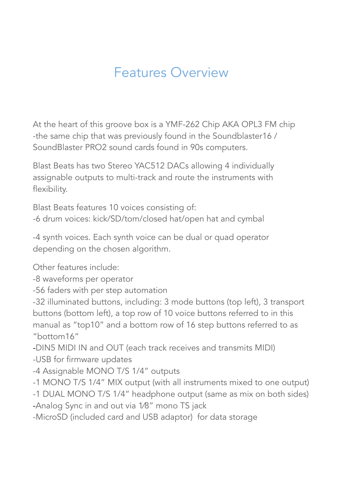### Features Overview

At the heart of this groove box is a YMF-262 Chip AKA OPL3 FM chip -the same chip that was previously found in the Soundblaster16 / SoundBlaster PRO2 sound cards found in 90s computers.

Blast Beats has two Stereo YAC512 DACs allowing 4 individually assignable outputs to multi-track and route the instruments with flexibility.

Blast Beats features 10 voices consisting of: -6 drum voices: kick/SD/tom/closed hat/open hat and cymbal

-4 synth voices. Each synth voice can be dual or quad operator depending on the chosen algorithm.

Other features include:

-8 waveforms per operator

-56 faders with per step automation

-32 illuminated buttons, including: 3 mode buttons (top left), 3 transport buttons (bottom left), a top row of 10 voice buttons referred to in this manual as "top10" and a bottom row of 16 step buttons referred to as "bottom16"

-DIN5 MIDI IN and OUT (each track receives and transmits MIDI)

-USB for firmware updates

-4 Assignable MONO T/S 1/4" outputs

-1 MONO T/S 1/4" MIX output (with all instruments mixed to one output)

-1 DUAL MONO T/S 1/4" headphone output (same as mix on both sides)

-Analog Sync in and out via 1⁄8" mono TS jack

-MicroSD (included card and USB adaptor) for data storage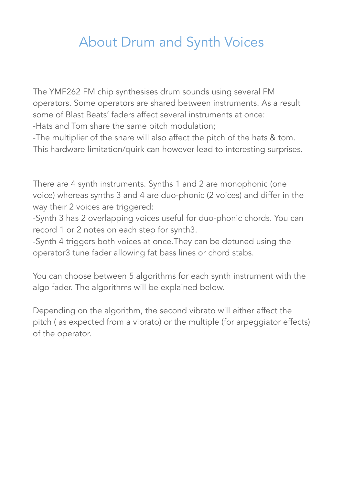### About Drum and Synth Voices

The YMF262 FM chip synthesises drum sounds using several FM operators. Some operators are shared between instruments. As a result some of Blast Beats' faders affect several instruments at once: -Hats and Tom share the same pitch modulation;

-The multiplier of the snare will also affect the pitch of the hats & tom. This hardware limitation/quirk can however lead to interesting surprises.

There are 4 synth instruments. Synths 1 and 2 are monophonic (one voice) whereas synths 3 and 4 are duo-phonic (2 voices) and differ in the way their 2 voices are triggered:

-Synth 3 has 2 overlapping voices useful for duo-phonic chords. You can record 1 or 2 notes on each step for synth3.

-Synth 4 triggers both voices at once.They can be detuned using the operator3 tune fader allowing fat bass lines or chord stabs.

You can choose between 5 algorithms for each synth instrument with the algo fader. The algorithms will be explained below.

Depending on the algorithm, the second vibrato will either affect the pitch ( as expected from a vibrato) or the multiple (for arpeggiator effects) of the operator.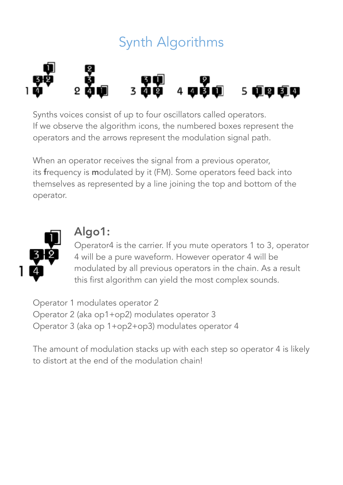## Synth Algorithms



Synths voices consist of up to four oscillators called operators. If we observe the algorithm icons, the numbered boxes represent the operators and the arrows represent the modulation signal path.

When an operator receives the signal from a previous operator, its frequency is modulated by it (FM). Some operators feed back into themselves as represented by a line joining the top and bottom of the operator.



#### Algo1:

Operator4 is the carrier. If you mute operators 1 to 3, operator 4 will be a pure waveform. However operator 4 will be modulated by all previous operators in the chain. As a result this first algorithm can yield the most complex sounds.

Operator 1 modulates operator 2 Operator 2 (aka op1+op2) modulates operator 3 Operator 3 (aka op 1+op2+op3) modulates operator 4

The amount of modulation stacks up with each step so operator 4 is likely to distort at the end of the modulation chain!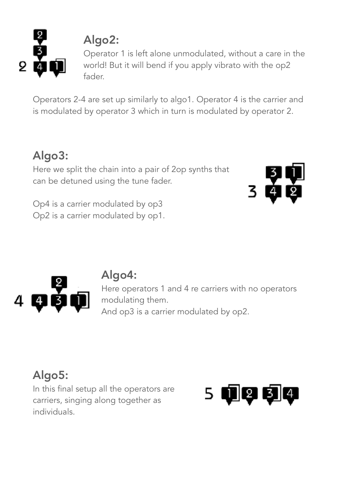

### Algo2:

Operator 1 is left alone unmodulated, without a care in the world! But it will bend if you apply vibrato with the op2 fader.

Operators 2-4 are set up similarly to algo1. Operator 4 is the carrier and is modulated by operator 3 which in turn is modulated by operator 2.

### Algo3:

Here we split the chain into a pair of 2op synths that can be detuned using the tune fader.

Op4 is a carrier modulated by op3 Op2 is a carrier modulated by op1.





#### Algo4:

Here operators 1 and 4 re carriers with no operators modulating them. And op3 is a carrier modulated by op2.

### Algo5:

In this final setup all the operators are carriers, singing along together as individuals.

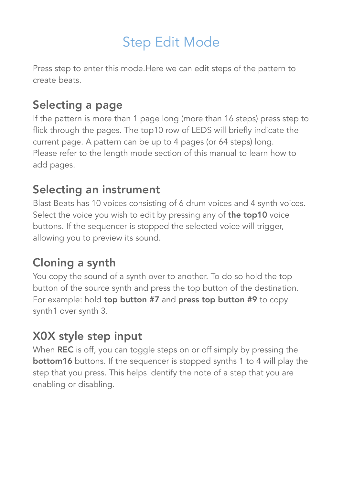### Step Edit Mode

Press step to enter this mode.Here we can edit steps of the pattern to create beats.

#### Selecting a page

If the pattern is more than 1 page long (more than 16 steps) press step to flick through the pages. The top10 row of LEDS will briefly indicate the current page. A pattern can be up to 4 pages (or 64 steps) long. Please refer to the length mode section of this manual to learn how to add pages.

#### Selecting an instrument

Blast Beats has 10 voices consisting of 6 drum voices and 4 synth voices. Select the voice you wish to edit by pressing any of the top10 voice buttons. If the sequencer is stopped the selected voice will trigger, allowing you to preview its sound.

#### Cloning a synth

You copy the sound of a synth over to another. To do so hold the top button of the source synth and press the top button of the destination. For example: hold top button #7 and press top button #9 to copy synth1 over synth 3.

#### X0X style step input

When **REC** is off, you can toggle steps on or off simply by pressing the **bottom16** buttons. If the sequencer is stopped synths 1 to 4 will play the step that you press. This helps identify the note of a step that you are enabling or disabling.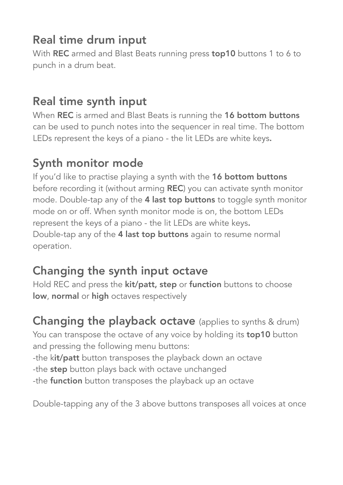#### Real time drum input

With REC armed and Blast Beats running press top10 buttons 1 to 6 to punch in a drum beat.

#### Real time synth input

When REC is armed and Blast Beats is running the 16 bottom buttons can be used to punch notes into the sequencer in real time. The bottom LEDs represent the keys of a piano - the lit LEDs are white keys.

### Synth monitor mode

If you'd like to practise playing a synth with the 16 bottom buttons before recording it (without arming REC) you can activate synth monitor mode. Double-tap any of the 4 last top buttons to toggle synth monitor mode on or off. When synth monitor mode is on, the bottom LEDs represent the keys of a piano - the lit LEDs are white keys. Double-tap any of the 4 last top buttons again to resume normal operation.

### Changing the synth input octave

Hold REC and press the **kit/patt, step** or **function** buttons to choose low, normal or high octaves respectively

#### **Changing the playback octave** (applies to synths & drum) You can transpose the octave of any voice by holding its **top10** button and pressing the following menu buttons:

-the kit/patt button transposes the playback down an octave

- -the step button plays back with octave unchanged
- -the **function** button transposes the playback up an octave

Double-tapping any of the 3 above buttons transposes all voices at once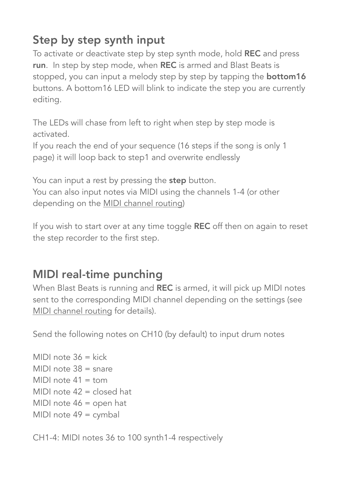### Step by step synth input

To activate or deactivate step by step synth mode, hold REC and press run. In step by step mode, when REC is armed and Blast Beats is stopped, you can input a melody step by step by tapping the **bottom16** buttons. A bottom16 LED will blink to indicate the step you are currently editing.

The LEDs will chase from left to right when step by step mode is activated.

If you reach the end of your sequence (16 steps if the song is only 1 page) it will loop back to step1 and overwrite endlessly

You can input a rest by pressing the step button.

<span id="page-7-0"></span>You can also input notes via MIDI using the channels 1-4 (or other depending on the [MIDI channel routing\)](#page-7-0)

If you wish to start over at any time toggle REC off then on again to reset the step recorder to the first step.

#### MIDI real-time punching

When Blast Beats is running and REC is armed, it will pick up MIDI notes sent to the corresponding MIDI channel depending on the settings (see [MIDI channel routing](#page-7-0) for details).

Send the following notes on CH10 (by default) to input drum notes

MIDI note  $36 =$  kick MIDI note 38 = snare MIDI note  $41 =$ tom MIDI note 42 = closed hat MIDI note 46 = open hat MIDI note 49 = cymbal

CH1-4: MIDI notes 36 to 100 synth1-4 respectively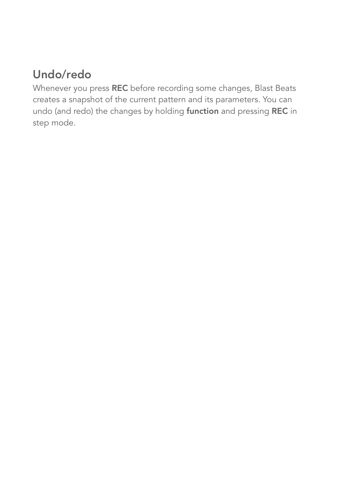### Undo/redo

Whenever you press REC before recording some changes, Blast Beats creates a snapshot of the current pattern and its parameters. You can undo (and redo) the changes by holding function and pressing REC in step mode.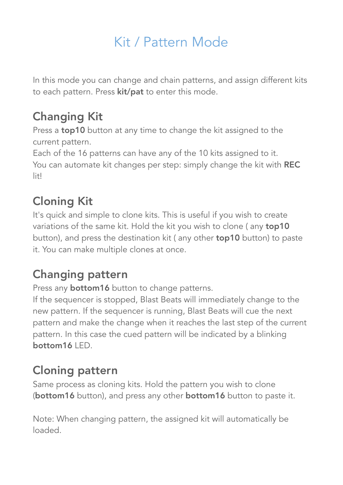### Kit / Pattern Mode

In this mode you can change and chain patterns, and assign different kits to each pattern. Press **kit/pat** to enter this mode.

#### Changing Kit

Press a **top10** button at any time to change the kit assigned to the current pattern.

Each of the 16 patterns can have any of the 10 kits assigned to it. You can automate kit changes per step: simply change the kit with REC lit!

### Cloning Kit

It's quick and simple to clone kits. This is useful if you wish to create variations of the same kit. Hold the kit you wish to clone (any top10 button), and press the destination kit ( any other top10 button) to paste it. You can make multiple clones at once.

#### Changing pattern

Press any **bottom16** button to change patterns.

If the sequencer is stopped, Blast Beats will immediately change to the new pattern. If the sequencer is running, Blast Beats will cue the next pattern and make the change when it reaches the last step of the current pattern. In this case the cued pattern will be indicated by a blinking  $bottom16$   $\text{FD}$ .

#### Cloning pattern

Same process as cloning kits. Hold the pattern you wish to clone (bottom16 button), and press any other bottom16 button to paste it.

Note: When changing pattern, the assigned kit will automatically be loaded.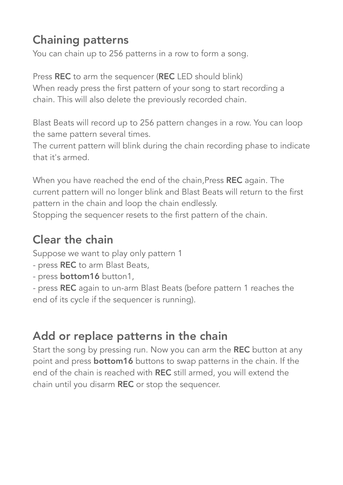#### Chaining patterns

You can chain up to 256 patterns in a row to form a song.

Press REC to arm the sequencer (REC LED should blink) When ready press the first pattern of your song to start recording a chain. This will also delete the previously recorded chain.

Blast Beats will record up to 256 pattern changes in a row. You can loop the same pattern several times.

The current pattern will blink during the chain recording phase to indicate that it's armed.

When you have reached the end of the chain, Press REC again. The current pattern will no longer blink and Blast Beats will return to the first pattern in the chain and loop the chain endlessly. Stopping the sequencer resets to the first pattern of the chain.

### Clear the chain

Suppose we want to play only pattern 1

- press REC to arm Blast Beats,
- press **bottom16** button1,

- press REC again to un-arm Blast Beats (before pattern 1 reaches the end of its cycle if the sequencer is running).

### Add or replace patterns in the chain

Start the song by pressing run. Now you can arm the REC button at any point and press **bottom16** buttons to swap patterns in the chain. If the end of the chain is reached with REC still armed, you will extend the chain until you disarm REC or stop the sequencer.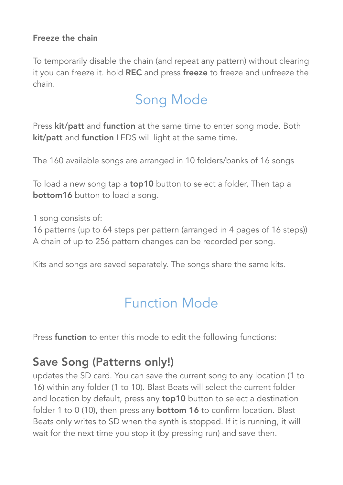#### Freeze the chain

To temporarily disable the chain (and repeat any pattern) without clearing it you can freeze it. hold REC and press freeze to freeze and unfreeze the chain.

### Song Mode

Press kit/patt and function at the same time to enter song mode. Both kit/patt and function LEDS will light at the same time.

The 160 available songs are arranged in 10 folders/banks of 16 songs

To load a new song tap a **top10** button to select a folder, Then tap a **bottom16** button to load a song.

1 song consists of:

16 patterns (up to 64 steps per pattern (arranged in 4 pages of 16 steps)) A chain of up to 256 pattern changes can be recorded per song.

Kits and songs are saved separately. The songs share the same kits.

### Function Mode

Press **function** to enter this mode to edit the following functions:

#### Save Song (Patterns only!)

updates the SD card. You can save the current song to any location (1 to 16) within any folder (1 to 10). Blast Beats will select the current folder and location by default, press any **top10** button to select a destination folder 1 to 0 (10), then press any **bottom 16** to confirm location. Blast Beats only writes to SD when the synth is stopped. If it is running, it will wait for the next time you stop it (by pressing run) and save then.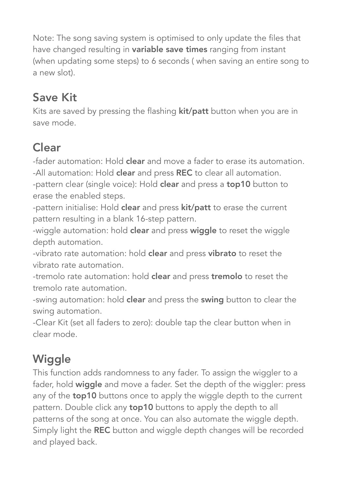Note: The song saving system is optimised to only update the files that have changed resulting in **variable save times** ranging from instant (when updating some steps) to 6 seconds ( when saving an entire song to a new slot).

### Save Kit

Kits are saved by pressing the flashing **kit/patt** button when you are in save mode.

### Clear

-fader automation: Hold clear and move a fader to erase its automation. -All automation: Hold clear and press REC to clear all automation.

-pattern clear (single voice): Hold clear and press a top10 button to erase the enabled steps.

-pattern initialise: Hold clear and press kit/patt to erase the current pattern resulting in a blank 16-step pattern.

-wiggle automation: hold **clear** and press **wiggle** to reset the wiggle depth automation.

-vibrato rate automation: hold clear and press vibrato to reset the vibrato rate automation.

-tremolo rate automation: hold clear and press tremolo to reset the tremolo rate automation.

-swing automation: hold **clear** and press the **swing** button to clear the swing automation.

-Clear Kit (set all faders to zero): double tap the clear button when in clear mode.

### **Wiggle**

This function adds randomness to any fader. To assign the wiggler to a fader, hold wiggle and move a fader. Set the depth of the wiggler: press any of the **top10** buttons once to apply the wiggle depth to the current pattern. Double click any **top10** buttons to apply the depth to all patterns of the song at once. You can also automate the wiggle depth. Simply light the REC button and wiggle depth changes will be recorded and played back.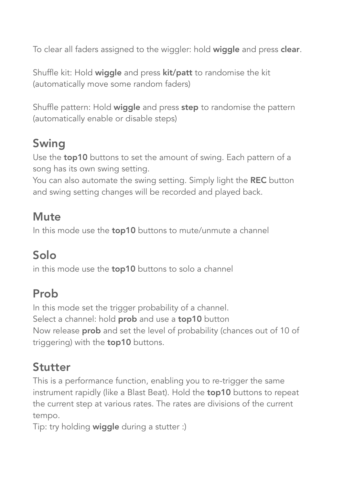To clear all faders assigned to the wiggler: hold wiggle and press clear.

Shuffle kit: Hold wiggle and press kit/patt to randomise the kit (automatically move some random faders)

Shuffle pattern: Hold wiggle and press step to randomise the pattern (automatically enable or disable steps)

#### Swing

Use the top10 buttons to set the amount of swing. Each pattern of a song has its own swing setting.

You can also automate the swing setting. Simply light the REC button and swing setting changes will be recorded and played back.

#### **Mute**

In this mode use the **top10** buttons to mute/unmute a channel

### Solo

in this mode use the **top10** buttons to solo a channel

#### Prob

In this mode set the trigger probability of a channel. Select a channel: hold **prob** and use a **top10** button Now release prob and set the level of probability (chances out of 10 of triggering) with the **top10** buttons.

#### Stutter

This is a performance function, enabling you to re-trigger the same instrument rapidly (like a Blast Beat). Hold the **top10** buttons to repeat the current step at various rates. The rates are divisions of the current tempo.

Tip: try holding wiggle during a stutter :)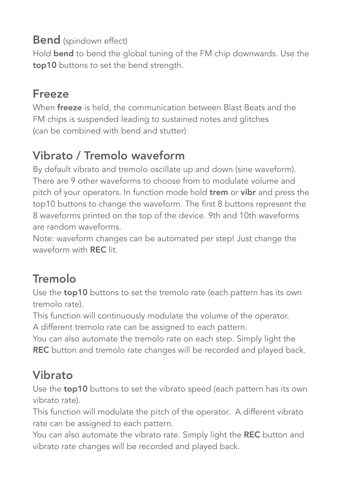#### **Bend** (spindown effect)

Hold bend to bend the global tuning of the FM chip downwards. Use the top10 buttons to set the bend strength.

#### Freeze

When freeze is held, the communication between Blast Beats and the FM chips is suspended leading to sustained notes and glitches (can be combined with bend and stutter)

### Vibrato / Tremolo waveform

By default vibrato and tremolo oscillate up and down (sine waveform). There are 9 other waveforms to choose from to modulate volume and pitch of your operators. In function mode hold **trem** or vibr and press the top10 buttons to change the waveform. The first 8 buttons represent the 8 waveforms printed on the top of the device. 9th and 10th waveforms are random waveforms.

Note: waveform changes can be automated per step! Just change the waveform with REC lit.

### Tremolo

Use the **top10** buttons to set the tremolo rate (each pattern has its own tremolo rate).

This function will continuously modulate the volume of the operator. A different tremolo rate can be assigned to each pattern.

You can also automate the tremolo rate on each step. Simply light the REC button and tremolo rate changes will be recorded and played back.

#### Vibrato

Use the **top10** buttons to set the vibrato speed (each pattern has its own vibrato rate).

This function will modulate the pitch of the operator. A different vibrato rate can be assigned to each pattern.

You can also automate the vibrato rate. Simply light the REC button and vibrato rate changes will be recorded and played back.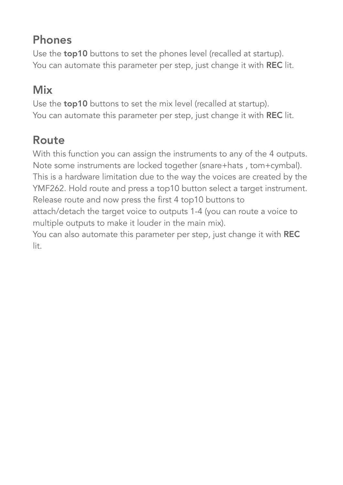#### Phones

Use the **top10** buttons to set the phones level (recalled at startup). You can automate this parameter per step, just change it with REC lit.

### Mix

Use the **top10** buttons to set the mix level (recalled at startup). You can automate this parameter per step, just change it with REC lit.

### Route

With this function you can assign the instruments to any of the 4 outputs. Note some instruments are locked together (snare+hats , tom+cymbal). This is a hardware limitation due to the way the voices are created by the YMF262. Hold route and press a top10 button select a target instrument. Release route and now press the first 4 top10 buttons to attach/detach the target voice to outputs 1-4 (you can route a voice to multiple outputs to make it louder in the main mix). You can also automate this parameter per step, just change it with REC lit.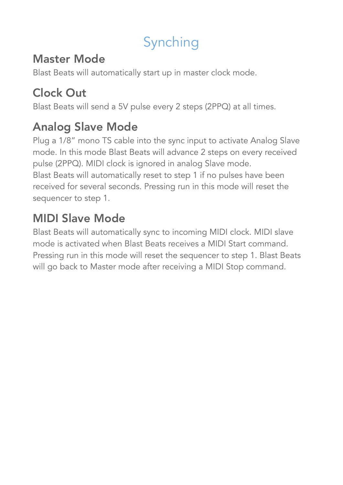# Synching

#### Master Mode

Blast Beats will automatically start up in master clock mode.

### Clock Out

Blast Beats will send a 5V pulse every 2 steps (2PPQ) at all times.

### Analog Slave Mode

Plug a 1/8" mono TS cable into the sync input to activate Analog Slave mode. In this mode Blast Beats will advance 2 steps on every received pulse (2PPQ). MIDI clock is ignored in analog Slave mode. Blast Beats will automatically reset to step 1 if no pulses have been received for several seconds. Pressing run in this mode will reset the sequencer to step 1.

### MIDI Slave Mode

Blast Beats will automatically sync to incoming MIDI clock. MIDI slave mode is activated when Blast Beats receives a MIDI Start command. Pressing run in this mode will reset the sequencer to step 1. Blast Beats will go back to Master mode after receiving a MIDI Stop command.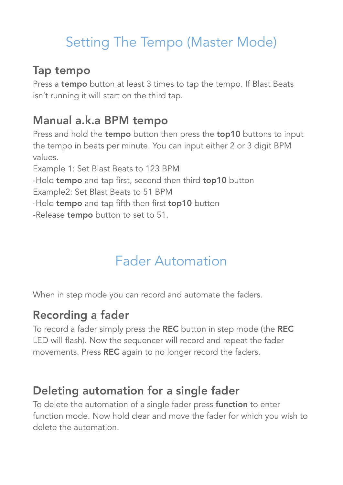### Setting The Tempo (Master Mode)

#### Tap tempo

Press a tempo button at least 3 times to tap the tempo. If Blast Beats isn't running it will start on the third tap.

#### Manual a.k.a BPM tempo

Press and hold the **tempo** button then press the **top10** buttons to input the tempo in beats per minute. You can input either 2 or 3 digit BPM values. Example 1: Set Blast Beats to 123 BPM -Hold tempo and tap first, second then third top10 button Example2: Set Blast Beats to 51 BPM -Hold tempo and tap fifth then first top10 button -Release **tempo** button to set to 51.

### Fader Automation

When in step mode you can record and automate the faders.

#### Recording a fader

To record a fader simply press the REC button in step mode (the REC LED will flash). Now the sequencer will record and repeat the fader movements. Press REC again to no longer record the faders.

#### Deleting automation for a single fader

To delete the automation of a single fader press **function** to enter function mode. Now hold clear and move the fader for which you wish to delete the automation.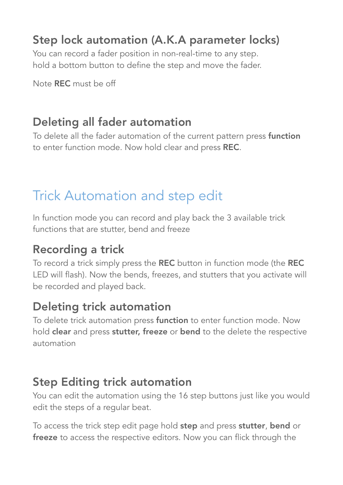#### Step lock automation (A.K.A parameter locks)

You can record a fader position in non-real-time to any step. hold a bottom button to define the step and move the fader.

Note REC must be off

#### Deleting all fader automation

To delete all the fader automation of the current pattern press function to enter function mode. Now hold clear and press REC.

### Trick Automation and step edit

In function mode you can record and play back the 3 available trick functions that are stutter, bend and freeze

#### Recording a trick

To record a trick simply press the REC button in function mode (the REC LED will flash). Now the bends, freezes, and stutters that you activate will be recorded and played back.

#### Deleting trick automation

To delete trick automation press function to enter function mode. Now hold clear and press stutter, freeze or bend to the delete the respective automation

#### Step Editing trick automation

You can edit the automation using the 16 step buttons just like you would edit the steps of a regular beat.

To access the trick step edit page hold step and press stutter, bend or freeze to access the respective editors. Now you can flick through the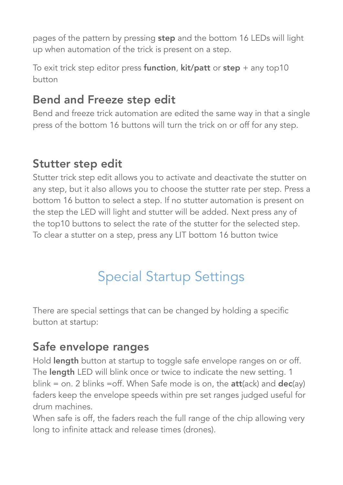pages of the pattern by pressing step and the bottom 16 LEDs will light up when automation of the trick is present on a step.

To exit trick step editor press function,  $kit/$  patt or step + any top10 button

#### Bend and Freeze step edit

Bend and freeze trick automation are edited the same way in that a single press of the bottom 16 buttons will turn the trick on or off for any step.

#### Stutter step edit

Stutter trick step edit allows you to activate and deactivate the stutter on any step, but it also allows you to choose the stutter rate per step. Press a bottom 16 button to select a step. If no stutter automation is present on the step the LED will light and stutter will be added. Next press any of the top10 buttons to select the rate of the stutter for the selected step. To clear a stutter on a step, press any LIT bottom 16 button twice

### Special Startup Settings

There are special settings that can be changed by holding a specific button at startup:

#### Safe envelope ranges

Hold length button at startup to toggle safe envelope ranges on or off. The length LED will blink once or twice to indicate the new setting. 1 blink = on. 2 blinks = off. When Safe mode is on, the **att**(ack) and  $dec(ay)$ faders keep the envelope speeds within pre set ranges judged useful for drum machines.

When safe is off, the faders reach the full range of the chip allowing very long to infinite attack and release times (drones).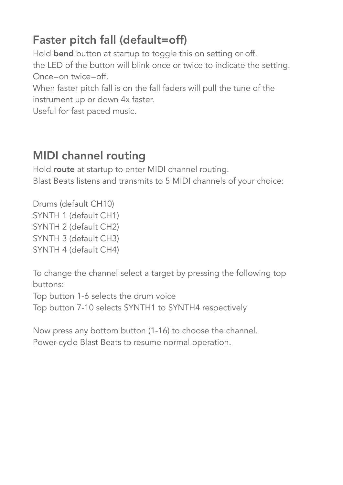### Faster pitch fall (default=off)

Hold **bend** button at startup to toggle this on setting or off. the LED of the button will blink once or twice to indicate the setting. Once=on twice=off.

When faster pitch fall is on the fall faders will pull the tune of the instrument up or down 4x faster.

Useful for fast paced music.

#### MIDI channel routing

Hold route at startup to enter MIDI channel routing. Blast Beats listens and transmits to 5 MIDI channels of your choice:

Drums (default CH10) SYNTH 1 (default CH1) SYNTH 2 (default CH2) SYNTH 3 (default CH3) SYNTH 4 (default CH4)

To change the channel select a target by pressing the following top buttons:

Top button 1-6 selects the drum voice

Top button 7-10 selects SYNTH1 to SYNTH4 respectively

Now press any bottom button (1-16) to choose the channel. Power-cycle Blast Beats to resume normal operation.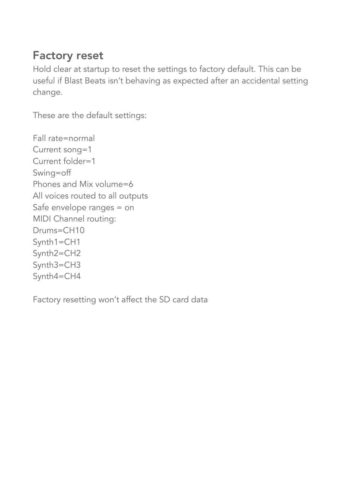#### Factory reset

Hold clear at startup to reset the settings to factory default. This can be useful if Blast Beats isn't behaving as expected after an accidental setting change.

These are the default settings:

Fall rate=normal Current song=1 Current folder=1 Swing=off Phones and Mix volume=6 All voices routed to all outputs Safe envelope ranges = on MIDI Channel routing: Drums=CH10 Synth1=CH1 Synth2=CH2 Synth3=CH3 Synth4=CH4

Factory resetting won't affect the SD card data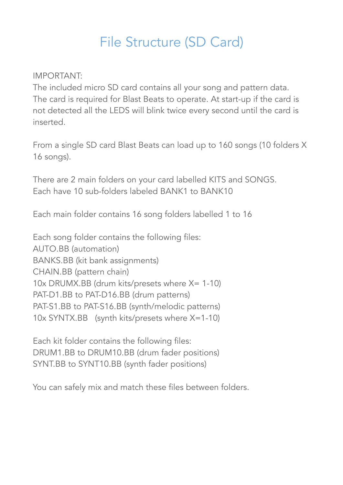### File Structure (SD Card)

#### IMPORTANT:

The included micro SD card contains all your song and pattern data. The card is required for Blast Beats to operate. At start-up if the card is not detected all the LEDS will blink twice every second until the card is inserted.

From a single SD card Blast Beats can load up to 160 songs (10 folders X 16 songs).

There are 2 main folders on your card labelled KITS and SONGS. Each have 10 sub-folders labeled BANK1 to BANK10

Each main folder contains 16 song folders labelled 1 to 16

Each song folder contains the following files: AUTO.BB (automation) BANKS.BB (kit bank assignments) CHAIN.BB (pattern chain) 10x DRUMX.BB (drum kits/presets where X= 1-10) PAT-D1.BB to PAT-D16.BB (drum patterns) PAT-S1.BB to PAT-S16.BB (synth/melodic patterns) 10x SYNTX.BB (synth kits/presets where X=1-10)

Each kit folder contains the following files: DRUM1.BB to DRUM10.BB (drum fader positions) SYNT.BB to SYNT10.BB (synth fader positions)

You can safely mix and match these files between folders.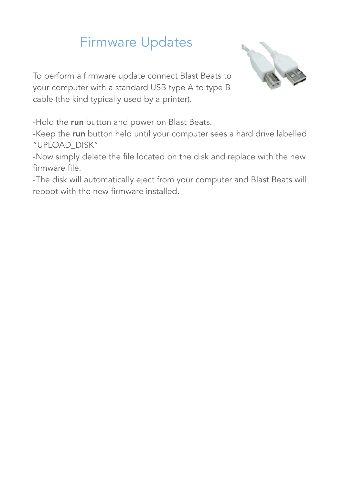### Firmware Updates

To perform a firmware update connect Blast Beats to your computer with a standard USB type A to type B cable (the kind typically used by a printer).



-Hold the run button and power on Blast Beats.

-Keep the run button held until your computer sees a hard drive labelled "UPLOAD\_DISK"

-Now simply delete the file located on the disk and replace with the new firmware file.

-The disk will automatically eject from your computer and Blast Beats will reboot with the new firmware installed.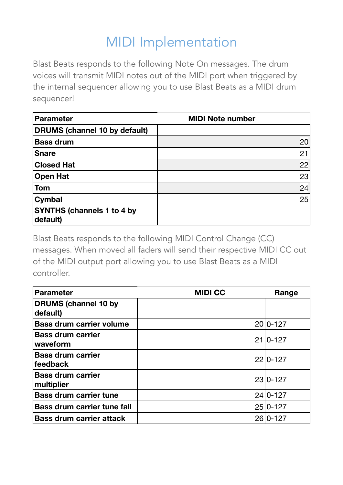### MIDI Implementation

Blast Beats responds to the following Note On messages. The drum voices will transmit MIDI notes out of the MIDI port when triggered by the internal sequencer allowing you to use Blast Beats as a MIDI drum sequencer!

| <b>Parameter</b>                              | <b>MIDI Note number</b> |
|-----------------------------------------------|-------------------------|
| <b>DRUMS (channel 10 by default)</b>          |                         |
| <b>Bass drum</b>                              | 20                      |
| <b>Snare</b>                                  | 21                      |
| <b>Closed Hat</b>                             | 22                      |
| <b>Open Hat</b>                               | 23                      |
| <b>Tom</b>                                    | 24                      |
| Cymbal                                        | 25                      |
| <b>SYNTHS (channels 1 to 4 by</b><br>default) |                         |

Blast Beats responds to the following MIDI Control Change (CC) messages. When moved all faders will send their respective MIDI CC out of the MIDI output port allowing you to use Blast Beats as a MIDI controller.

| <b>Parameter</b>                        | <b>MIDI CC</b> | Range      |
|-----------------------------------------|----------------|------------|
| <b>DRUMS</b> (channel 10 by<br>default) |                |            |
| <b>Bass drum carrier volume</b>         |                | $20 0-127$ |
| <b>Bass drum carrier</b><br>waveform    |                | $21 0-127$ |
| <b>Bass drum carrier</b><br>feedback    |                | $22 0-127$ |
| <b>Bass drum carrier</b><br>multiplier  |                | $23 0-127$ |
| <b>Bass drum carrier tune</b>           |                | $24 0-127$ |
| <b>Bass drum carrier tune fall</b>      |                | $25 0-127$ |
| <b>Bass drum carrier attack</b>         |                | 26 0-127   |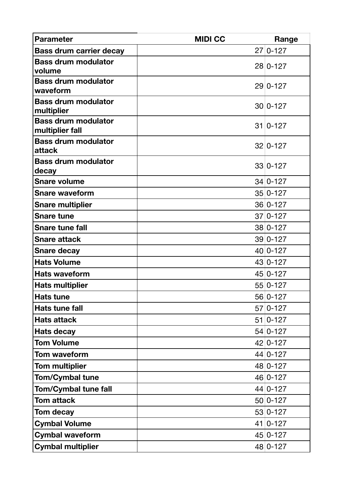| <b>Parameter</b>                              | <b>MIDI CC</b> | Range      |
|-----------------------------------------------|----------------|------------|
| <b>Bass drum carrier decay</b>                |                | $27 0-127$ |
| <b>Bass drum modulator</b><br>volume          |                | $28 0-127$ |
| <b>Bass drum modulator</b><br>waveform        |                | $29 0-127$ |
| <b>Bass drum modulator</b><br>multiplier      |                | $30 0-127$ |
| <b>Bass drum modulator</b><br>multiplier fall |                | $31 0-127$ |
| <b>Bass drum modulator</b><br>attack          |                | $32 0-127$ |
| <b>Bass drum modulator</b><br>decay           |                | $33 0-127$ |
| <b>Snare volume</b>                           |                | $34 0-127$ |
| <b>Snare waveform</b>                         |                | $35 0-127$ |
| <b>Snare multiplier</b>                       |                | $36 0-127$ |
| <b>Snare tune</b>                             |                | $37 0-127$ |
| <b>Snare tune fall</b>                        |                | $38 0-127$ |
| <b>Snare attack</b>                           |                | $39 0-127$ |
| <b>Snare decay</b>                            |                | $40 0-127$ |
| <b>Hats Volume</b>                            |                | $43 0-127$ |
| <b>Hats waveform</b>                          |                | $45 0-127$ |
| <b>Hats multiplier</b>                        |                | $55 0-127$ |
| <b>Hats tune</b>                              |                | 56 0-127   |
| <b>Hats tune fall</b>                         |                | $57 0-127$ |
| <b>Hats attack</b>                            |                | $51 0-127$ |
| <b>Hats decay</b>                             |                | $54 0-127$ |
| <b>Tom Volume</b>                             |                | $42 0-127$ |
| <b>Tom waveform</b>                           |                | $44 0-127$ |
| <b>Tom multiplier</b>                         |                | 48 0-127   |
| <b>Tom/Cymbal tune</b>                        |                | $46 0-127$ |
| Tom/Cymbal tune fall                          |                | $44 0-127$ |
| <b>Tom attack</b>                             |                | $50 0-127$ |
| <b>Tom decay</b>                              |                | $53 0-127$ |
| <b>Cymbal Volume</b>                          |                | $41 0-127$ |
| <b>Cymbal waveform</b>                        |                | $45 0-127$ |
| <b>Cymbal multiplier</b>                      |                | $48 0-127$ |